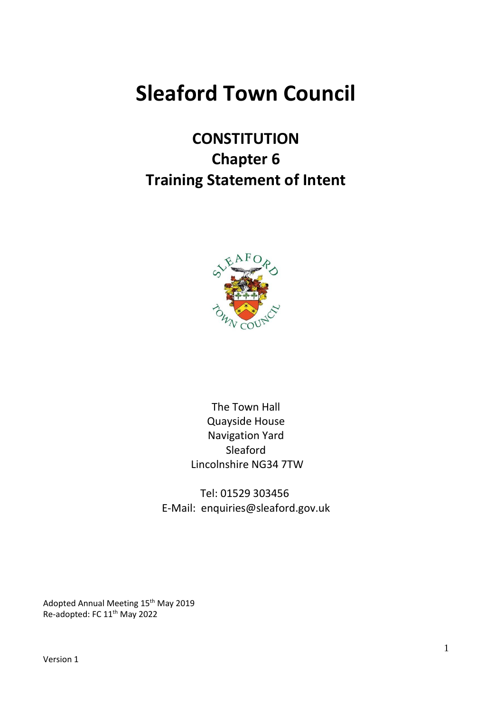# **Sleaford Town Council**

# **CONSTITUTION Chapter 6 Training Statement of Intent**



The Town Hall Quayside House Navigation Yard Sleaford Lincolnshire NG34 7TW

Tel: 01529 303456 E-Mail: enquiries@sleaford.gov.uk

Adopted Annual Meeting 15<sup>th</sup> May 2019 Re-adopted: FC 11<sup>th</sup> May 2022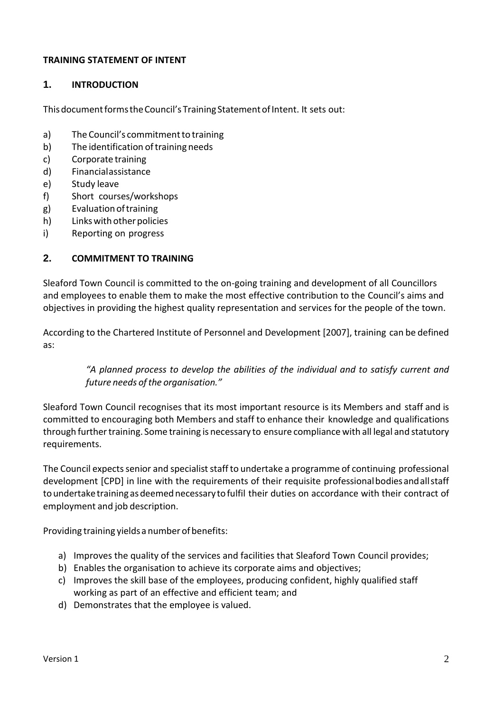#### **TRAINING STATEMENT OF INTENT**

#### **1. INTRODUCTION**

This document forms the Council's Training Statement of Intent. It sets out:

- a) The Council's commitment to training
- b) The identification of training needs
- c) Corporate training
- d) Financialassistance
- e) Study leave
- f) Short courses/workshops
- g) Evaluationoftraining
- h) Linkswithotherpolicies
- i) Reporting on progress

#### **2. COMMITMENT TO TRAINING**

Sleaford Town Council is committed to the on-going training and development of all Councillors and employees to enable them to make the most effective contribution to the Council's aims and objectives in providing the highest quality representation and services for the people of the town.

According to the Chartered Institute of Personnel and Development [2007], training can be defined as:

#### *"A planned process to develop the abilities of the individual and to satisfy current and future needs ofthe organisation."*

Sleaford Town Council recognises that its most important resource is its Members and staff and is committed to encouraging both Members and staff to enhance their knowledge and qualifications through furthertraining. Some training is necessary to ensure compliance with all legal and statutory requirements.

The Council expects senior and specialist staff to undertake a programme of continuing professional development [CPD] in line with the requirements of their requisite professionalbodiesandallstaff to undertake training as deemed necessary to fulfil their duties on accordance with their contract of employment and job description.

Providing training yields a number of benefits:

- a) Improves the quality of the services and facilities that Sleaford Town Council provides;
- b) Enables the organisation to achieve its corporate aims and objectives;
- c) Improves the skill base of the employees, producing confident, highly qualified staff working as part of an effective and efficient team; and
- d) Demonstrates that the employee is valued.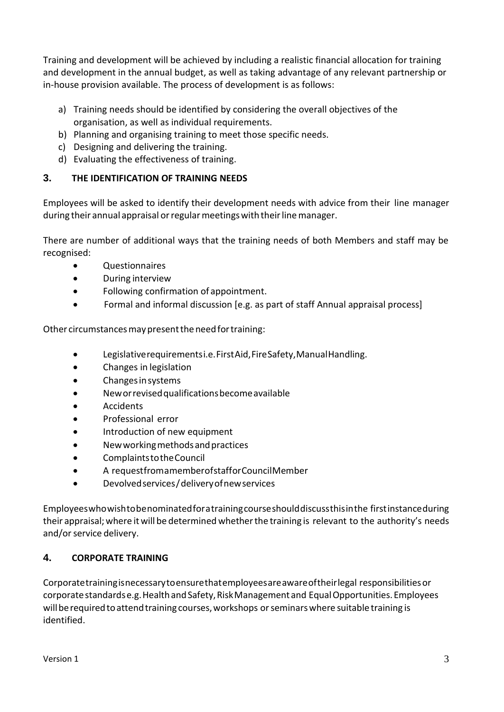Training and development will be achieved by including a realistic financial allocation for training and development in the annual budget, as well as taking advantage of any relevant partnership or in-house provision available. The process of development is as follows:

- a) Training needs should be identified by considering the overall objectives of the organisation, as well as individual requirements.
- b) Planning and organising training to meet those specific needs.
- c) Designing and delivering the training.
- d) Evaluating the effectiveness of training.

### **3. THE IDENTIFICATION OF TRAINING NEEDS**

Employees will be asked to identify their development needs with advice from their line manager during their annual appraisal or regular meetings with their line manager.

There are number of additional ways that the training needs of both Members and staff may be recognised:

- Questionnaires
- During interview
- Following confirmation of appointment.
- Formal and informal discussion [e.g. as part of staff Annual appraisal process]

Other circumstances may present the need for training:

- Legislativerequirementsi.e.FirstAid,FireSafety,ManualHandling.
- Changes in legislation
- Changes in systems
- Neworrevisedqualificationsbecomeavailable
- Accidents
- Professional error
- Introduction of new equipment
- Newworkingmethodsandpractices
- ComplaintstotheCouncil
- A requestfromamemberofstafforCouncilMember
- Devolvedservices/deliveryofnewservices

Employeeswhowishtobenominatedforatrainingcourseshoulddiscussthisinthe firstinstanceduring their appraisal; where it will be determined whetherthe training is relevant to the authority's needs and/or service delivery.

# **4. CORPORATE TRAINING**

Corporatetrainingisnecessarytoensurethatemployeesareawareoftheirlegal responsibilitiesor corporatestandardse.g.HealthandSafety,RiskManagement and EqualOpportunities.Employees will be required to attend training courses, workshops or seminars where suitable training is identified.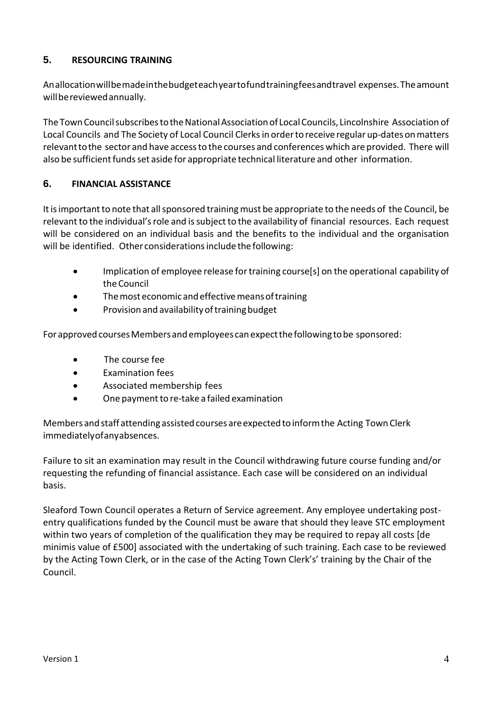#### **5. RESOURCING TRAINING**

Anallocationwillbemadeinthebudgeteachyeartofundtrainingfeesandtravel expenses.Theamount willbereviewedannually.

The Town Council subscribes to the National Association of Local Councils, Lincolnshire Association of Local Councils and The Society of Local Council Clerksin orderto receive regular up-dates onmatters relevanttothe sector and have accessto the courses and conferences which are provided. There will also be sufficient funds set aside for appropriate technical literature and other information.

### **6. FINANCIAL ASSISTANCE**

It is important to note that all sponsored training must be appropriate to the needs of the Council, be relevant to the individual's role and is subject to the availability of financial resources. Each request will be considered on an individual basis and the benefits to the individual and the organisation will be identified. Other considerations include the following:

- Implication of employee release for training course [s] on the operational capability of theCouncil
- The most economic and effective means of training
- Provision and availability of training budget

For approved courses Members and employees can expect the following to be sponsored:

- The course fee
- Examination fees
- Associated membership fees
- One payment to re-take a failed examination

Members and staff attending assisted courses are expected to inform the Acting Town Clerk immediatelyofanyabsences.

Failure to sit an examination may result in the Council withdrawing future course funding and/or requesting the refunding of financial assistance. Each case will be considered on an individual basis.

Sleaford Town Council operates a Return of Service agreement. Any employee undertaking postentry qualifications funded by the Council must be aware that should they leave STC employment within two years of completion of the qualification they may be required to repay all costs [de minimis value of £500] associated with the undertaking of such training. Each case to be reviewed by the Acting Town Clerk, or in the case of the Acting Town Clerk's' training by the Chair of the Council.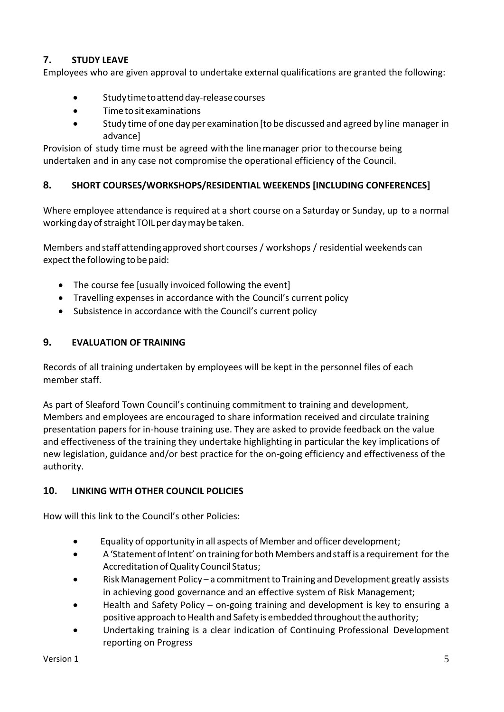# **7. STUDY LEAVE**

Employees who are given approval to undertake external qualifications are granted the following:

- Studytimetoattendday-releasecourses
- Timeto sitexaminations
- Study time of one day per examination [to be discussed and agreed by line manager in advance]

Provision of study time must be agreed withthe line manager prior to thecourse being undertaken and in any case not compromise the operational efficiency of the Council.

#### **8. SHORT COURSES/WORKSHOPS/RESIDENTIAL WEEKENDS [INCLUDING CONFERENCES]**

Where employee attendance is required at a short course on a Saturday or Sunday, up to a normal working day of straight TOIL per day may be taken.

Members and staff attending approved short courses / workshops / residential weekends can expect the following to be paid:

- The course fee [usually invoiced following the event]
- Travelling expenses in accordance with the Council's current policy
- Subsistence in accordance with the Council's current policy

#### **9. EVALUATION OF TRAINING**

Records of all training undertaken by employees will be kept in the personnel files of each member staff.

As part of Sleaford Town Council's continuing commitment to training and development, Members and employees are encouraged to share information received and circulate training presentation papers for in-house training use. They are asked to provide feedback on the value and effectiveness of the training they undertake highlighting in particular the key implications of new legislation, guidance and/or best practice for the on-going efficiency and effectiveness of the authority.

#### **10. LINKING WITH OTHER COUNCIL POLICIES**

How will this link to the Council's other Policies:

- Equality of opportunity in all aspects of Member and officer development;
- A 'Statement of Intent' on training for both Members and staff is a requirement for the Accreditation of Quality Council Status;
- Risk Management Policy a commitment to Training and Development greatly assists in achieving good governance and an effective system of Risk Management;
- Health and Safety Policy on-going training and development is key to ensuring a positive approach to Health and Safety is embedded throughout the authority;
- Undertaking training is a clear indication of Continuing Professional Development reporting on Progress